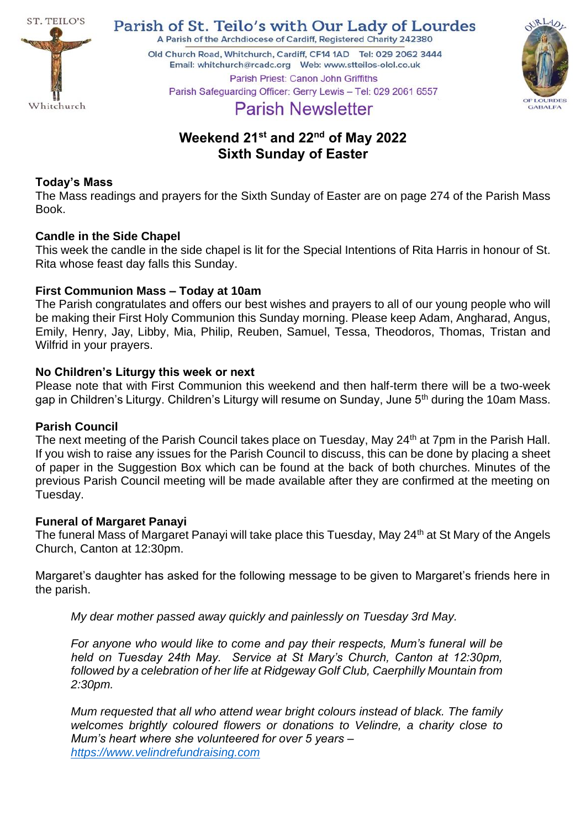

Parish of St. Teilo's with Our Lady of Lourdes A Parish of the Archdiocese of Cardiff, Registered Charity 242380

Old Church Road, Whitchurch, Cardiff, CF14 1AD Tel: 029 2062 3444 



Parish Priest: Canon John Griffiths Parish Safeguarding Officer: Gerry Lewis - Tel: 029 2061 6557

# **Parish Newsletter**

## **Weekend 21st and 22nd of May 2022 Sixth Sunday of Easter**

## **Today's Mass**

The Mass readings and prayers for the Sixth Sunday of Easter are on page 274 of the Parish Mass Book.

## **Candle in the Side Chapel**

This week the candle in the side chapel is lit for the Special Intentions of Rita Harris in honour of St. Rita whose feast day falls this Sunday.

## **First Communion Mass – Today at 10am**

The Parish congratulates and offers our best wishes and prayers to all of our young people who will be making their First Holy Communion this Sunday morning. Please keep Adam, Angharad, Angus, Emily, Henry, Jay, Libby, Mia, Philip, Reuben, Samuel, Tessa, Theodoros, Thomas, Tristan and Wilfrid in your prayers.

## **No Children's Liturgy this week or next**

Please note that with First Communion this weekend and then half-term there will be a two-week gap in Children's Liturgy. Children's Liturgy will resume on Sunday, June 5<sup>th</sup> during the 10am Mass.

## **Parish Council**

The next meeting of the Parish Council takes place on Tuesday, May 24<sup>th</sup> at 7pm in the Parish Hall. If you wish to raise any issues for the Parish Council to discuss, this can be done by placing a sheet of paper in the Suggestion Box which can be found at the back of both churches. Minutes of the previous Parish Council meeting will be made available after they are confirmed at the meeting on Tuesday.

## **Funeral of Margaret Panayi**

The funeral Mass of Margaret Panayi will take place this Tuesday, May 24<sup>th</sup> at St Mary of the Angels Church, Canton at 12:30pm.

Margaret's daughter has asked for the following message to be given to Margaret's friends here in the parish.

*My dear mother passed away quickly and painlessly on Tuesday 3rd May.*

*For anyone who would like to come and pay their respects, Mum's funeral will be held on Tuesday 24th May. Service at St Mary's Church, Canton at 12:30pm, followed by a celebration of her life at Ridgeway Golf Club, Caerphilly Mountain from 2:30pm.* 

*Mum requested that all who attend wear bright colours instead of black. The family welcomes brightly coloured flowers or donations to Velindre, a charity close to Mum's heart where she volunteered for over 5 years – [https://www.velindrefundraising.com](https://www.velindrefundraising.com/)*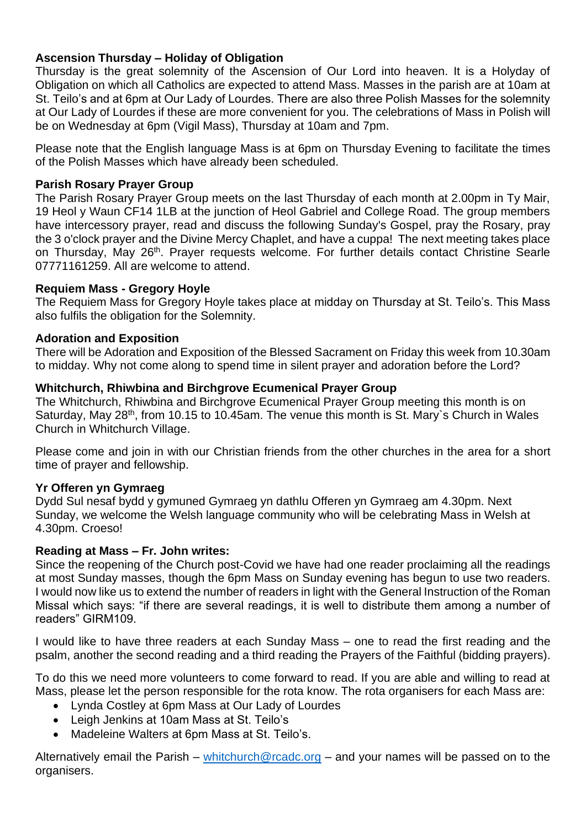## **Ascension Thursday – Holiday of Obligation**

Thursday is the great solemnity of the Ascension of Our Lord into heaven. It is a Holyday of Obligation on which all Catholics are expected to attend Mass. Masses in the parish are at 10am at St. Teilo's and at 6pm at Our Lady of Lourdes. There are also three Polish Masses for the solemnity at Our Lady of Lourdes if these are more convenient for you. The celebrations of Mass in Polish will be on Wednesday at 6pm (Vigil Mass), Thursday at 10am and 7pm.

Please note that the English language Mass is at 6pm on Thursday Evening to facilitate the times of the Polish Masses which have already been scheduled.

#### **Parish Rosary Prayer Group**

The Parish Rosary Prayer Group meets on the last Thursday of each month at 2.00pm in Ty Mair, 19 Heol y Waun CF14 1LB at the junction of Heol Gabriel and College Road. The group members have intercessory prayer, read and discuss the following Sunday's Gospel, pray the Rosary, pray the 3 o'clock prayer and the Divine Mercy Chaplet, and have a cuppa! The next meeting takes place on Thursday, May 26<sup>th</sup>. Prayer requests welcome. For further details contact Christine Searle 07771161259. All are welcome to attend.

#### **Requiem Mass - Gregory Hoyle**

The Requiem Mass for Gregory Hoyle takes place at midday on Thursday at St. Teilo's. This Mass also fulfils the obligation for the Solemnity.

#### **Adoration and Exposition**

There will be Adoration and Exposition of the Blessed Sacrament on Friday this week from 10.30am to midday. Why not come along to spend time in silent prayer and adoration before the Lord?

#### **Whitchurch, Rhiwbina and Birchgrove Ecumenical Prayer Group**

The Whitchurch, Rhiwbina and Birchgrove Ecumenical Prayer Group meeting this month is on Saturday, May 28<sup>th</sup>, from 10.15 to 10.45am. The venue this month is St. Mary's Church in Wales Church in Whitchurch Village.

Please come and join in with our Christian friends from the other churches in the area for a short time of prayer and fellowship.

#### **Yr Offeren yn Gymraeg**

Dydd Sul nesaf bydd y gymuned Gymraeg yn dathlu Offeren yn Gymraeg am 4.30pm. Next Sunday, we welcome the Welsh language community who will be celebrating Mass in Welsh at 4.30pm. Croeso!

#### **Reading at Mass – Fr. John writes:**

Since the reopening of the Church post-Covid we have had one reader proclaiming all the readings at most Sunday masses, though the 6pm Mass on Sunday evening has begun to use two readers. I would now like us to extend the number of readers in light with the General Instruction of the Roman Missal which says: "if there are several readings, it is well to distribute them among a number of readers" GIRM109.

I would like to have three readers at each Sunday Mass – one to read the first reading and the psalm, another the second reading and a third reading the Prayers of the Faithful (bidding prayers).

To do this we need more volunteers to come forward to read. If you are able and willing to read at Mass, please let the person responsible for the rota know. The rota organisers for each Mass are:

- Lynda Costley at 6pm Mass at Our Lady of Lourdes
- Leigh Jenkins at 10am Mass at St. Teilo's
- Madeleine Walters at 6pm Mass at St. Teilo's.

Alternatively email the Parish – [whitchurch@rcadc.org](mailto:whitchurch@rcadc.org) – and your names will be passed on to the organisers.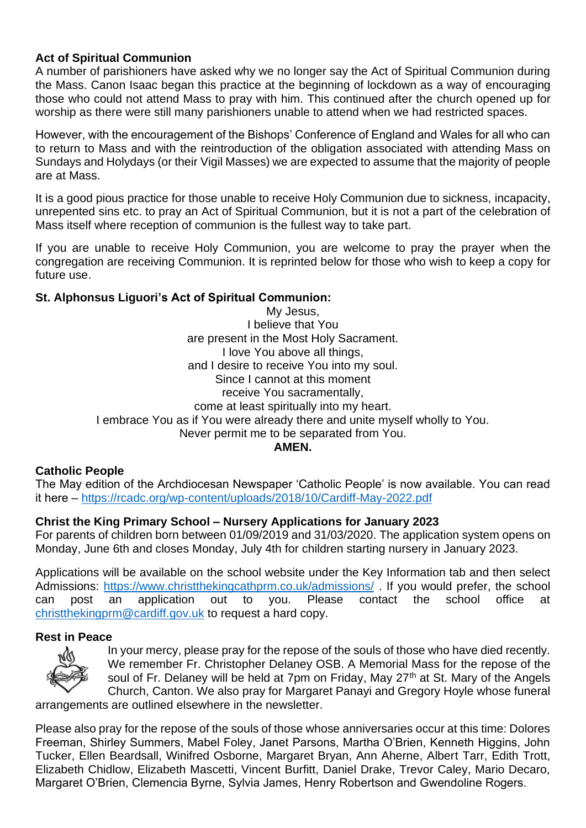## **Act of Spiritual Communion**

A number of parishioners have asked why we no longer say the Act of Spiritual Communion during the Mass. Canon Isaac began this practice at the beginning of lockdown as a way of encouraging those who could not attend Mass to pray with him. This continued after the church opened up for worship as there were still many parishioners unable to attend when we had restricted spaces.

However, with the encouragement of the Bishops' Conference of England and Wales for all who can to return to Mass and with the reintroduction of the obligation associated with attending Mass on Sundays and Holydays (or their Vigil Masses) we are expected to assume that the majority of people are at Mass.

It is a good pious practice for those unable to receive Holy Communion due to sickness, incapacity, unrepented sins etc. to pray an Act of Spiritual Communion, but it is not a part of the celebration of Mass itself where reception of communion is the fullest way to take part.

If you are unable to receive Holy Communion, you are welcome to pray the prayer when the congregation are receiving Communion. It is reprinted below for those who wish to keep a copy for future use.

## **St. Alphonsus Liguori's Act of Spiritual Communion:**

My Jesus, I believe that You are present in the Most Holy Sacrament. I love You above all things, and I desire to receive You into my soul. Since I cannot at this moment receive You sacramentally, come at least spiritually into my heart. I embrace You as if You were already there and unite myself wholly to You. Never permit me to be separated from You.

**AMEN.**

## **Catholic People**

The May edition of the Archdiocesan Newspaper 'Catholic People' is now available. You can read it here – <https://rcadc.org/wp-content/uploads/2018/10/Cardiff-May-2022.pdf>

## **Christ the King Primary School – Nursery Applications for January 2023**

For parents of children born between 01/09/2019 and 31/03/2020. The application system opens on Monday, June 6th and closes Monday, July 4th for children starting nursery in January 2023.

Applications will be available on the school website under the Key Information tab and then select Admissions:<https://www.christthekingcathprm.co.uk/admissions/> . If you would prefer, the school can post an application out to you. Please contact the school office at [christthekingprm@cardiff.gov.uk](mailto:christthekingprm@cardiff.gov.uk) to request a hard copy.

#### **Rest in Peace**



In your mercy, please pray for the repose of the souls of those who have died recently. We remember Fr. Christopher Delaney OSB. A Memorial Mass for the repose of the soul of Fr. Delaney will be held at 7pm on Friday, May 27<sup>th</sup> at St. Mary of the Angels Church, Canton. We also pray for Margaret Panayi and Gregory Hoyle whose funeral

arrangements are outlined elsewhere in the newsletter.

Please also pray for the repose of the souls of those whose anniversaries occur at this time: Dolores Freeman, Shirley Summers, Mabel Foley, Janet Parsons, Martha O'Brien, Kenneth Higgins, John Tucker, Ellen Beardsall, Winifred Osborne, Margaret Bryan, Ann Aherne, Albert Tarr, Edith Trott, Elizabeth Chidlow, Elizabeth Mascetti, Vincent Burfitt, Daniel Drake, Trevor Caley, Mario Decaro, Margaret O'Brien, Clemencia Byrne, Sylvia James, Henry Robertson and Gwendoline Rogers.